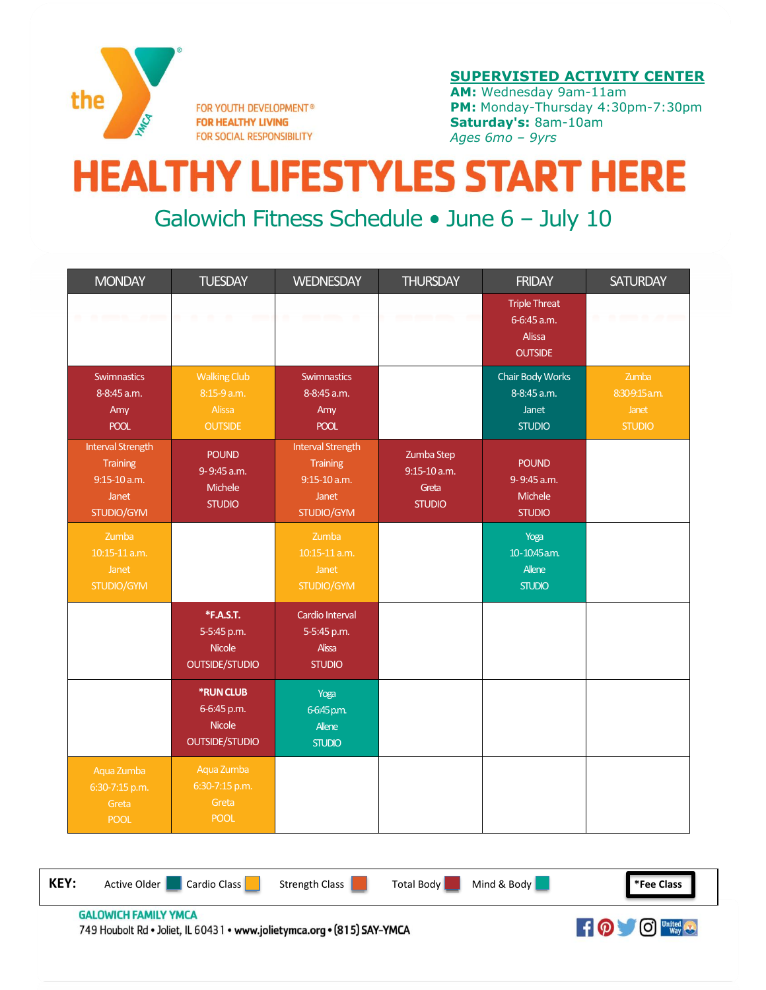

FOR YOUTH DEVELOPMENT® **FOR HEALTHY LIVING** FOR SOCIAL RESPONSIBILITY

## **SUPERVISTED ACTIVITY CENTER**

**AM:** Wednesday 9am-11am **PM:** Monday-Thursday 4:30pm-7:30pm **Saturday's:** 8am-10am *Ages 6mo – 9yrs*

## **HEALTHY LIFESTYLES START HERE**

## Galowich Fitness Schedule • June 6 – July 10

| <b>MONDAY</b>                                                                          | <b>TUESDAY</b>                                                     | <b>WEDNESDAY</b>                                                                       | <b>THURSDAY</b>                                        | <b>FRIDAY</b>                                                          | <b>SATURDAY</b>                                   |
|----------------------------------------------------------------------------------------|--------------------------------------------------------------------|----------------------------------------------------------------------------------------|--------------------------------------------------------|------------------------------------------------------------------------|---------------------------------------------------|
|                                                                                        |                                                                    |                                                                                        |                                                        | <b>Triple Threat</b><br>6-6:45 a.m.<br><b>Alissa</b><br><b>OUTSIDE</b> |                                                   |
| <b>Swimnastics</b><br>8-8:45 a.m.<br>Amy<br><b>POOL</b>                                | <b>Walking Club</b><br>8:15-9 a.m.<br>Alissa<br><b>OUTSIDE</b>     | <b>Swimnastics</b><br>8-8:45 a.m.<br>Amy<br><b>POOL</b>                                |                                                        | Chair Body Works<br>8-8:45 a.m.<br>Janet<br><b>STUDIO</b>              | Zumba<br>8:30-9:15 a.m.<br>Janet<br><b>STUDIO</b> |
| <b>Interval Strength</b><br><b>Training</b><br>$9:15 - 10$ a.m.<br>Janet<br>STUDIO/GYM | <b>POUND</b><br>9-9:45 a.m.<br>Michele<br><b>STUDIO</b>            | <b>Interval Strength</b><br><b>Training</b><br>$9:15 - 10$ a.m.<br>Janet<br>STUDIO/GYM | Zumba Step<br>$9:15-10$ a.m.<br>Greta<br><b>STUDIO</b> | <b>POUND</b><br>9-9:45 a.m.<br>Michele<br><b>STUDIO</b>                |                                                   |
| Zumba<br>10:15-11 a.m.<br>Janet<br>STUDIO/GYM                                          |                                                                    | Zumba<br>10:15-11 a.m.<br>Janet<br>STUDIO/GYM                                          |                                                        | Yoga<br>10-10:45a.m.<br>Allene<br><b>STUDIO</b>                        |                                                   |
|                                                                                        | *F.A.S.T.<br>5-5:45 p.m.<br><b>Nicole</b><br><b>OUTSIDE/STUDIO</b> | Cardio Interval<br>5-5:45 p.m.<br><b>Alissa</b><br><b>STUDIO</b>                       |                                                        |                                                                        |                                                   |
|                                                                                        | <b>*RUN CLUB</b><br>6-6:45 p.m.<br><b>Nicole</b><br>OUTSIDE/STUDIO | Yoga<br>6-6:45 p.m.<br>Allene<br><b>STUDIO</b>                                         |                                                        |                                                                        |                                                   |
| Aqua Zumba<br>6:30-7:15 p.m.<br>Greta<br><b>POOL</b>                                   | Aqua Zumba<br>6:30-7:15 p.m.<br>Greta<br><b>POOL</b>               |                                                                                        |                                                        |                                                                        |                                                   |

**KEY:** Active Older Cardio Class Strength Class Total Body Mind & Body **The Class** 

**GALOWICH FAMILY YMCA** 749 Houbolt Rd . Joliet, IL 60431 . www.jolietymca.org . (815) SAY-YMCA